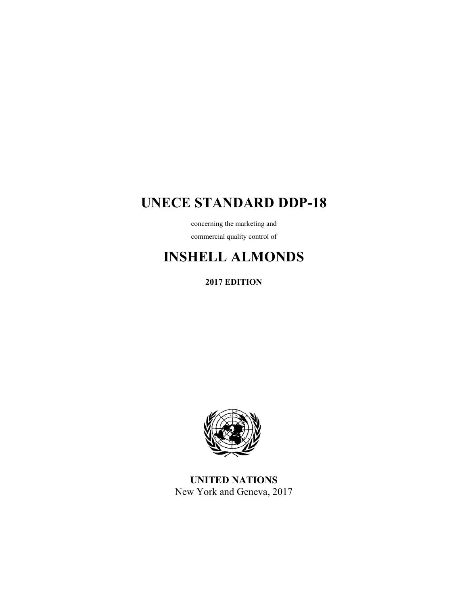# **UNECE STANDARD DDP-18**

concerning the marketing and commercial quality control of

# **INSHELL ALMONDS**

**2017 EDITION** 



**UNITED NATIONS**  New York and Geneva, 2017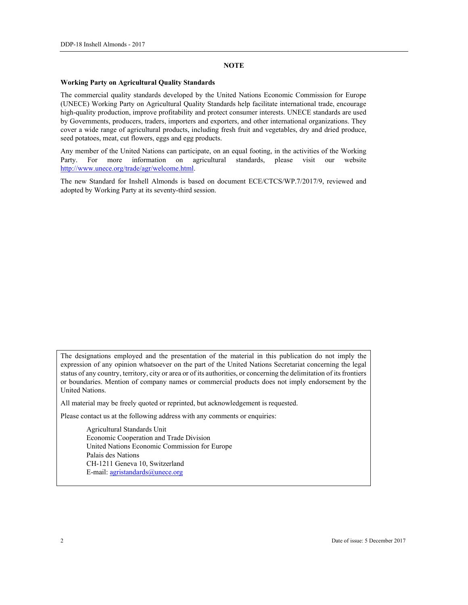#### **NOTE**

#### **Working Party on Agricultural Quality Standards**

The commercial quality standards developed by the United Nations Economic Commission for Europe (UNECE) Working Party on Agricultural Quality Standards help facilitate international trade, encourage high-quality production, improve profitability and protect consumer interests. UNECE standards are used by Governments, producers, traders, importers and exporters, and other international organizations. They cover a wide range of agricultural products, including fresh fruit and vegetables, dry and dried produce, seed potatoes, meat, cut flowers, eggs and egg products.

Any member of the United Nations can participate, on an equal footing, in the activities of the Working Party. For more information on agricultural standards, please visit our website http://www.unece.org/trade/agr/welcome.html.

The new Standard for Inshell Almonds is based on document ECE/CTCS/WP.7/2017/9, reviewed and adopted by Working Party at its seventy-third session.

The designations employed and the presentation of the material in this publication do not imply the expression of any opinion whatsoever on the part of the United Nations Secretariat concerning the legal status of any country, territory, city or area or of its authorities, or concerning the delimitation of its frontiers or boundaries. Mention of company names or commercial products does not imply endorsement by the United Nations.

All material may be freely quoted or reprinted, but acknowledgement is requested.

Please contact us at the following address with any comments or enquiries:

 Agricultural Standards Unit Economic Cooperation and Trade Division United Nations Economic Commission for Europe Palais des Nations CH-1211 Geneva 10, Switzerland E-mail: agristandards@unece.org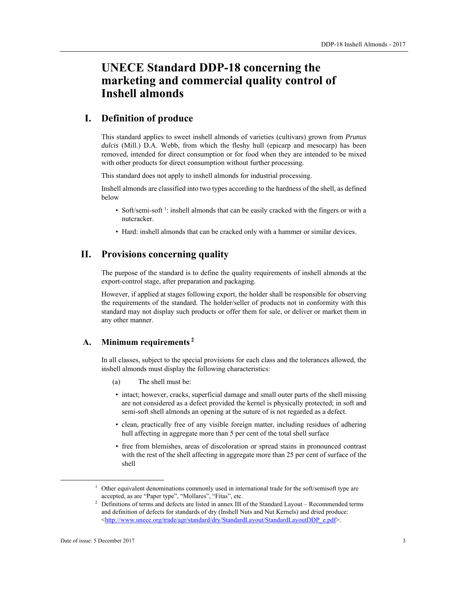# **UNECE Standard DDP-18 concerning the marketing and commercial quality control of Inshell almonds**

# **I. Definition of produce**

This standard applies to sweet inshell almonds of varieties (cultivars) grown from *Prunus dulcis* (Mill.) D.A. Webb, from which the fleshy hull (epicarp and mesocarp) has been removed, intended for direct consumption or for food when they are intended to be mixed with other products for direct consumption without further processing.

This standard does not apply to inshell almonds for industrial processing.

Inshell almonds are classified into two types according to the hardness of the shell, as defined below

- Soft/semi-soft 1: inshell almonds that can be easily cracked with the fingers or with a nutcracker.
- Hard: inshell almonds that can be cracked only with a hammer or similar devices.

# **II. Provisions concerning quality**

The purpose of the standard is to define the quality requirements of inshell almonds at the export-control stage, after preparation and packaging.

However, if applied at stages following export, the holder shall be responsible for observing the requirements of the standard. The holder/seller of products not in conformity with this standard may not display such products or offer them for sale, or deliver or market them in any other manner.

# **A. Minimum requirements 2**

In all classes, subject to the special provisions for each class and the tolerances allowed, the inshell almonds must display the following characteristics:

- (a) The shell must be:
- intact; however, cracks, superficial damage and small outer parts of the shell missing are not considered as a defect provided the kernel is physically protected; in soft and semi-soft shell almonds an opening at the suture of is not regarded as a defect.
- clean, practically free of any visible foreign matter, including residues of adhering hull affecting in aggregate more than 5 per cent of the total shell surface
- free from blemishes, areas of discoloration or spread stains in pronounced contrast with the rest of the shell affecting in aggregate more than 25 per cent of surface of the shell

<sup>&</sup>lt;u>1</u>  $1$  Other equivalent denominations commonly used in international trade for the soft/semisoft type are accepted, as are "Paper type", "Mollares", "Fitas", etc.<br><sup>2</sup> Definitions of terms and defects are listed in annex III of the Standard Layout – Recommended terms

and definition of defects for standards of dry (Inshell Nuts and Nut Kernels) and dried produce: <http://www.unece.org/trade/agr/standard/dry/StandardLayout/StandardLayoutDDP\_e.pdf>.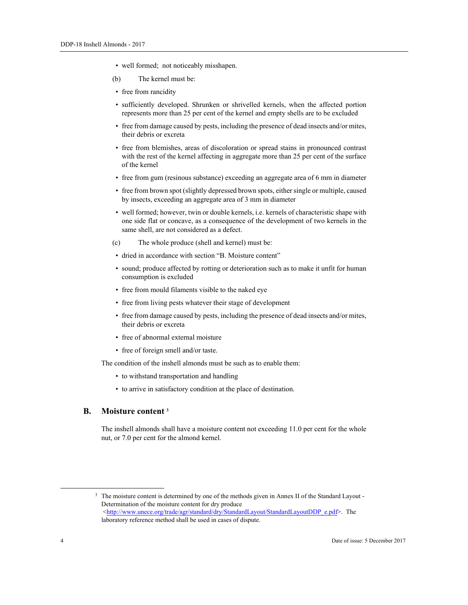- well formed; not noticeably misshapen.
- (b) The kernel must be:
- free from rancidity
- sufficiently developed. Shrunken or shrivelled kernels, when the affected portion represents more than 25 per cent of the kernel and empty shells are to be excluded
- free from damage caused by pests, including the presence of dead insects and/or mites, their debris or excreta
- free from blemishes, areas of discoloration or spread stains in pronounced contrast with the rest of the kernel affecting in aggregate more than 25 per cent of the surface of the kernel
- free from gum (resinous substance) exceeding an aggregate area of 6 mm in diameter
- free from brown spot (slightly depressed brown spots, either single or multiple, caused by insects, exceeding an aggregate area of 3 mm in diameter
- well formed; however, twin or double kernels, i.e. kernels of characteristic shape with one side flat or concave, as a consequence of the development of two kernels in the same shell, are not considered as a defect.
- (c) The whole produce (shell and kernel) must be:
- dried in accordance with section "B. Moisture content"
- sound; produce affected by rotting or deterioration such as to make it unfit for human consumption is excluded
- free from mould filaments visible to the naked eye
- free from living pests whatever their stage of development
- free from damage caused by pests, including the presence of dead insects and/or mites, their debris or excreta
- free of abnormal external moisture
- free of foreign smell and/or taste.

The condition of the inshell almonds must be such as to enable them:

- to withstand transportation and handling
- to arrive in satisfactory condition at the place of destination.

#### **B. Moisture content 3**

The inshell almonds shall have a moisture content not exceeding 11.0 per cent for the whole nut, or 7.0 per cent for the almond kernel.

<sup>&</sup>lt;sup>3</sup> The moisture content is determined by one of the methods given in Annex II of the Standard Layout -Determination of the moisture content for dry produce <http://www.unece.org/trade/agr/standard/dry/StandardLayout/StandardLayoutDDP\_e.pdf>. The laboratory reference method shall be used in cases of dispute.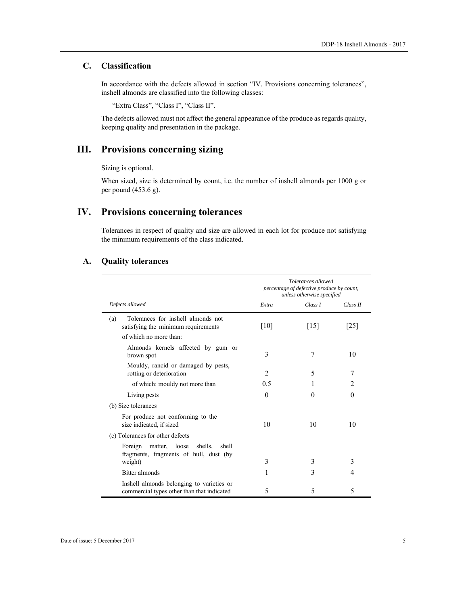### **C. Classification**

In accordance with the defects allowed in section "IV. Provisions concerning tolerances", inshell almonds are classified into the following classes:

"Extra Class", "Class I", "Class II".

The defects allowed must not affect the general appearance of the produce as regards quality, keeping quality and presentation in the package.

# **III. Provisions concerning sizing**

Sizing is optional.

When sized, size is determined by count, i.e. the number of inshell almonds per 1000 g or per pound (453.6 g).

# **IV. Provisions concerning tolerances**

Tolerances in respect of quality and size are allowed in each lot for produce not satisfying the minimum requirements of the class indicated.

#### **A. Quality tolerances**

|                                                                                         | Tolerances allowed<br>percentage of defective produce by count,<br>unless otherwise specified |                    |                |
|-----------------------------------------------------------------------------------------|-----------------------------------------------------------------------------------------------|--------------------|----------------|
| Defects allowed                                                                         | Extra                                                                                         | Class I            | Class II       |
| Tolerances for inshell almonds not<br>(a)<br>satisfying the minimum requirements        | [10]                                                                                          | $\lceil 15 \rceil$ | 25             |
| of which no more than:                                                                  |                                                                                               |                    |                |
| Almonds kernels affected by gum or<br>brown spot                                        | 3                                                                                             | 7                  | 10             |
| Mouldy, rancid or damaged by pests,<br>rotting or deterioration                         | 2                                                                                             | 5                  | 7              |
| of which: mouldy not more than                                                          | 0.5                                                                                           | 1                  | $\mathfrak{D}$ |
| Living pests                                                                            | $\theta$                                                                                      | $\Omega$           | $\Omega$       |
| (b) Size tolerances                                                                     |                                                                                               |                    |                |
| For produce not conforming to the<br>size indicated, if sized                           | 10                                                                                            | 10                 | 10             |
| (c) Tolerances for other defects                                                        |                                                                                               |                    |                |
| matter, loose<br>Foreign<br>shells,<br>shell<br>fragments, fragments of hull, dust (by  | 3                                                                                             | 3                  | 3              |
| weight)                                                                                 |                                                                                               |                    |                |
| Bitter almonds                                                                          |                                                                                               | 3                  | 4              |
| Inshell almonds belonging to varieties or<br>commercial types other than that indicated | 5                                                                                             | 5                  | 5              |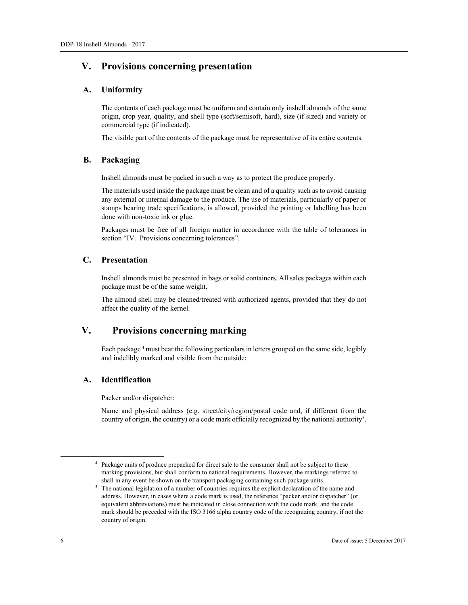# **V. Provisions concerning presentation**

#### **A. Uniformity**

The contents of each package must be uniform and contain only inshell almonds of the same origin, crop year, quality, and shell type (soft/semisoft, hard), size (if sized) and variety or commercial type (if indicated).

The visible part of the contents of the package must be representative of its entire contents.

#### **B. Packaging**

Inshell almonds must be packed in such a way as to protect the produce properly.

The materials used inside the package must be clean and of a quality such as to avoid causing any external or internal damage to the produce. The use of materials, particularly of paper or stamps bearing trade specifications, is allowed, provided the printing or labelling has been done with non-toxic ink or glue.

Packages must be free of all foreign matter in accordance with the table of tolerances in section "IV. Provisions concerning tolerances".

## **C. Presentation**

Inshell almonds must be presented in bags or solid containers. All sales packages within each package must be of the same weight.

The almond shell may be cleaned/treated with authorized agents, provided that they do not affect the quality of the kernel.

# **V. Provisions concerning marking**

Each package<sup>4</sup> must bear the following particulars in letters grouped on the same side, legibly and indelibly marked and visible from the outside:

#### **A. Identification**

Packer and/or dispatcher:

Name and physical address (e.g. street/city/region/postal code and, if different from the country of origin, the country) or a code mark officially recognized by the national authority<sup>5</sup>.

 <sup>4</sup> Package units of produce prepacked for direct sale to the consumer shall not be subject to these marking provisions, but shall conform to national requirements. However, the markings referred to

shall in any event be shown on the transport packaging containing such package units.<br><sup>5</sup> The national legislation of a number of countries requires the explicit declaration of the name and address. However, in cases where a code mark is used, the reference "packer and/or dispatcher" (or equivalent abbreviations) must be indicated in close connection with the code mark, and the code mark should be preceded with the ISO 3166 alpha country code of the recognizing country, if not the country of origin.